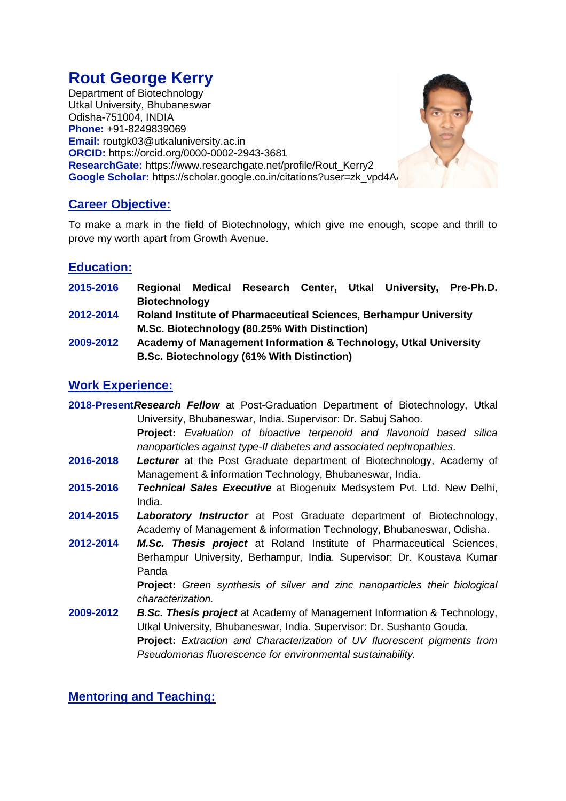# **Rout George Kerry**

Department of Biotechnology Utkal University, Bhubaneswar Odisha-751004, INDIA **Phone:** +91-8249839069 **Email:** [routgk03@utkaluniversity.ac.in](mailto:routgk03@utkaluniversity.ac.in) **ORCID:** <https://orcid.org/0000-0002-2943-3681> **ResearchGate:** [https://www.researchgate.net/profile/Rout\\_Kerry2](https://www.researchgate.net/profile/Rout_Kerry2) **Google Scholar:** https://scholar.google.co.in/citations?user=zk\_vpd4A



To make a mark in the field of Biotechnology, which give me enough, scope and thrill to prove my worth apart from Growth Avenue.

# **Education:**

- **2015-2016 Regional Medical Research Center, Utkal University, Pre-Ph.D. Biotechnology**
- **2012-2014 Roland Institute of Pharmaceutical Sciences, Berhampur University M.Sc. Biotechnology (80.25% With Distinction)**
- **2009-2012 Academy of Management Information & Technology, Utkal University B.Sc. Biotechnology (61% With Distinction)**

# **Work Experience:**

- **2018-Present***Research Fellow* at Post-Graduation Department of Biotechnology, Utkal University, Bhubaneswar, India. Supervisor: Dr. Sabuj Sahoo. **Project:** *Evaluation of bioactive terpenoid and flavonoid based silica nanoparticles against type-II diabetes and associated nephropathies*.
- **2016-2018** *Lecturer* at the Post Graduate department of Biotechnology, Academy of Management & information Technology, Bhubaneswar, India.
- **2015-2016** *Technical Sales Executive* at Biogenuix Medsystem Pvt. Ltd. New Delhi, India.
- **2014-2015** *Laboratory Instructor* at Post Graduate department of Biotechnology, Academy of Management & information Technology, Bhubaneswar, Odisha.
- **2012-2014** *M.Sc. Thesis project* at Roland Institute of Pharmaceutical Sciences, Berhampur University, Berhampur, India. Supervisor: Dr. Koustava Kumar Panda

**Project:** *Green synthesis of silver and zinc nanoparticles their biological characterization.*

**2009-2012** *B.Sc. Thesis project* at Academy of Management Information & Technology, Utkal University, Bhubaneswar, India. Supervisor: Dr. Sushanto Gouda. **Project:** *Extraction and Characterization of UV fluorescent pigments from Pseudomonas fluorescence for environmental sustainability.*

**Mentoring and Teaching:**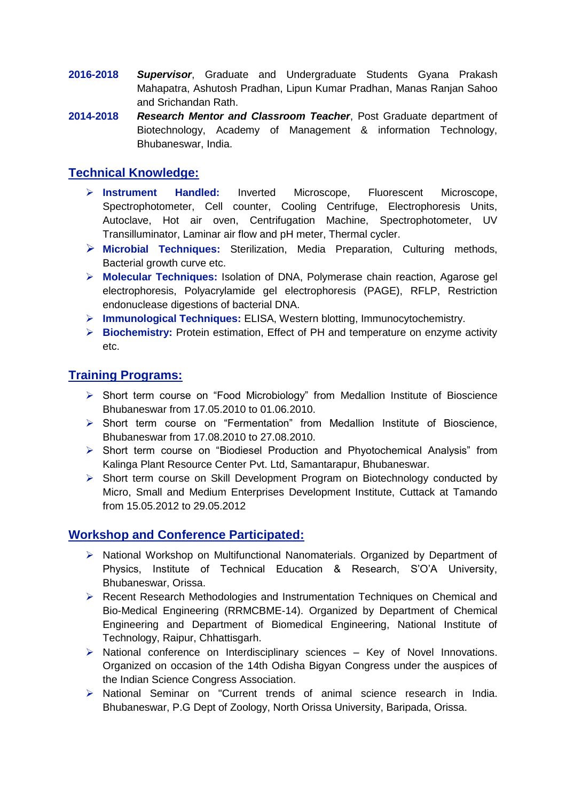- **2016-2018** *Supervisor*, Graduate and Undergraduate Students Gyana Prakash Mahapatra, Ashutosh Pradhan, Lipun Kumar Pradhan, Manas Ranjan Sahoo and Srichandan Rath.
- **2014-2018** *Research Mentor and Classroom Teacher*, Post Graduate department of Biotechnology, Academy of Management & information Technology, Bhubaneswar, India.

# **Technical Knowledge:**

- **Instrument Handled:** Inverted Microscope, Fluorescent Microscope, Spectrophotometer, Cell counter, Cooling Centrifuge, Electrophoresis Units, Autoclave, Hot air oven, Centrifugation Machine, Spectrophotometer, UV Transilluminator, Laminar air flow and pH meter, Thermal cycler.
- **Microbial Techniques:** Sterilization, Media Preparation, Culturing methods, Bacterial growth curve etc.
- **Molecular Techniques:** Isolation of DNA, Polymerase chain reaction, Agarose gel electrophoresis, Polyacrylamide gel electrophoresis (PAGE), RFLP, Restriction endonuclease digestions of bacterial DNA.
- **Immunological Techniques:** ELISA, Western blotting, Immunocytochemistry.
- **Biochemistry:** Protein estimation, Effect of PH and temperature on enzyme activity etc.

# **Training Programs:**

- Short term course on "Food Microbiology" from Medallion Institute of Bioscience Bhubaneswar from 17.05.2010 to 01.06.2010.
- Short term course on "Fermentation" from Medallion Institute of Bioscience, Bhubaneswar from 17.08.2010 to 27.08.2010.
- Short term course on "Biodiesel Production and Phyotochemical Analysis" from Kalinga Plant Resource Center Pvt. Ltd, Samantarapur, Bhubaneswar.
- Short term course on Skill Development Program on Biotechnology conducted by Micro, Small and Medium Enterprises Development Institute, Cuttack at Tamando from 15.05.2012 to 29.05.2012

## **Workshop and Conference Participated:**

- National Workshop on Multifunctional Nanomaterials. Organized by Department of Physics, Institute of Technical Education & Research, S'O'A University, Bhubaneswar, Orissa.
- ▶ Recent Research Methodologies and Instrumentation Techniques on Chemical and Bio-Medical Engineering (RRMCBME-14). Organized by Department of Chemical Engineering and Department of Biomedical Engineering, National Institute of Technology, Raipur, Chhattisgarh.
- $\triangleright$  National conference on Interdisciplinary sciences Key of Novel Innovations. Organized on occasion of the 14th Odisha Bigyan Congress under the auspices of the Indian Science Congress Association.
- National Seminar on "Current trends of animal science research in India. Bhubaneswar, P.G Dept of Zoology, North Orissa University, Baripada, Orissa.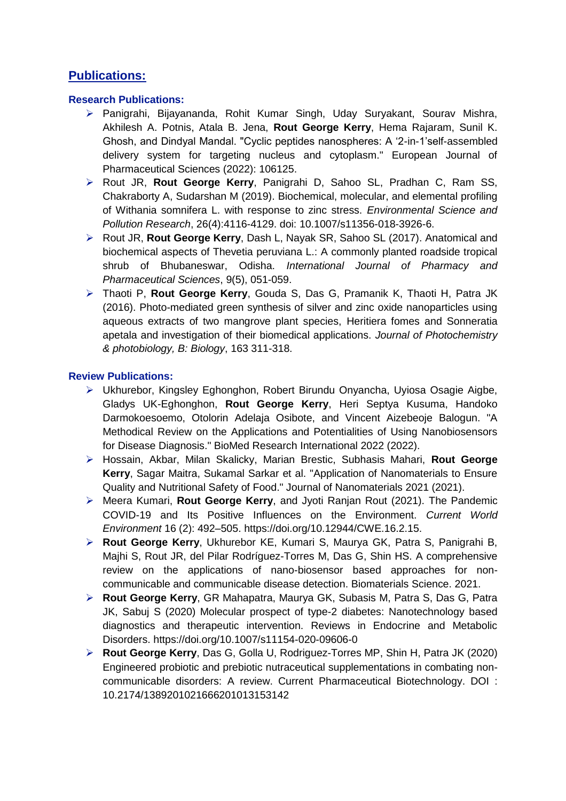# **Publications:**

## **Research Publications:**

- Panigrahi, Bijayananda, Rohit Kumar Singh, Uday Suryakant, Sourav Mishra, Akhilesh A. Potnis, Atala B. Jena, **Rout George Kerry**, Hema Rajaram, Sunil K. Ghosh, and Dindyal Mandal. "Cyclic peptides nanospheres: A '2-in-1'self-assembled delivery system for targeting nucleus and cytoplasm." European Journal of Pharmaceutical Sciences (2022): 106125.
- Rout JR, **Rout George Kerry**, Panigrahi D, Sahoo SL, Pradhan C, Ram SS, Chakraborty A, Sudarshan M (2019). Biochemical, molecular, and elemental profiling of Withania somnifera L. with response to zinc stress. *Environmental Science and Pollution Research*, 26(4):4116-4129. doi: 10.1007/s11356-018-3926-6.
- Rout JR, **Rout George Kerry**, Dash L, Nayak SR, Sahoo SL (2017). Anatomical and biochemical aspects of Thevetia peruviana L.: A commonly planted roadside tropical shrub of Bhubaneswar, Odisha. *International Journal of Pharmacy and Pharmaceutical Sciences*, 9(5), 051-059.
- Thaoti P, **Rout George Kerry**, Gouda S, Das G, Pramanik K, Thaoti H, Patra JK (2016). Photo-mediated green synthesis of silver and zinc oxide nanoparticles using aqueous extracts of two mangrove plant species, Heritiera fomes and Sonneratia apetala and investigation of their biomedical applications. *Journal of Photochemistry & photobiology, B: Biology*, 163 311-318.

## **Review Publications:**

- Ukhurebor, Kingsley Eghonghon, Robert Birundu Onyancha, Uyiosa Osagie Aigbe, Gladys UK-Eghonghon, **Rout George Kerry**, Heri Septya Kusuma, Handoko Darmokoesoemo, Otolorin Adelaja Osibote, and Vincent Aizebeoje Balogun. "A Methodical Review on the Applications and Potentialities of Using Nanobiosensors for Disease Diagnosis." BioMed Research International 2022 (2022).
- Hossain, Akbar, Milan Skalicky, Marian Brestic, Subhasis Mahari, **Rout George Kerry**, Sagar Maitra, Sukamal Sarkar et al. "Application of Nanomaterials to Ensure Quality and Nutritional Safety of Food." Journal of Nanomaterials 2021 (2021).
- Meera Kumari, **Rout George Kerry**, and Jyoti Ranjan Rout (2021). The Pandemic COVID-19 and Its Positive Influences on the Environment. *Current World Environment* 16 (2): 492–505. https://doi.org/10.12944/CWE.16.2.15.
- **Rout George Kerry**, Ukhurebor KE, Kumari S, Maurya GK, Patra S, Panigrahi B, Majhi S, Rout JR, del Pilar Rodríguez-Torres M, Das G, Shin HS. A comprehensive review on the applications of nano-biosensor based approaches for noncommunicable and communicable disease detection. Biomaterials Science. 2021.
- **Rout George Kerry**, GR Mahapatra, Maurya GK, Subasis M, Patra S, Das G, Patra JK, Sabuj S (2020) Molecular prospect of type-2 diabetes: Nanotechnology based diagnostics and therapeutic intervention. Reviews in Endocrine and Metabolic Disorders. https://doi.org/10.1007/s11154-020-09606-0
- **Rout George Kerry**, Das G, Golla U, Rodriguez-Torres MP, Shin H, Patra JK (2020) Engineered probiotic and prebiotic nutraceutical supplementations in combating noncommunicable disorders: A review. Current Pharmaceutical Biotechnology. DOI : 10.2174/1389201021666201013153142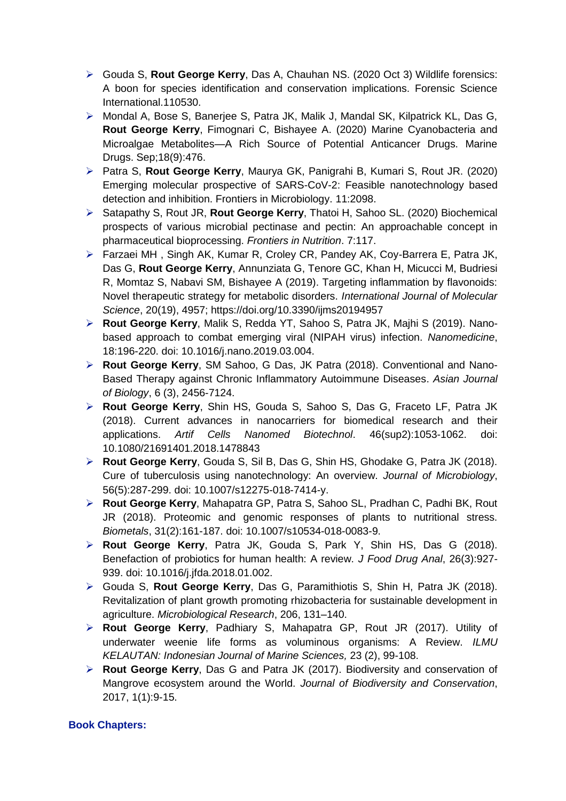- Gouda S, **Rout George Kerry**, Das A, Chauhan NS. (2020 Oct 3) Wildlife forensics: A boon for species identification and conservation implications. Forensic Science International.110530.
- Mondal A, Bose S, Banerjee S, Patra JK, Malik J, Mandal SK, Kilpatrick KL, Das G, **Rout George Kerry**, Fimognari C, Bishayee A. (2020) Marine Cyanobacteria and Microalgae Metabolites—A Rich Source of Potential Anticancer Drugs. Marine Drugs. Sep;18(9):476.
- Patra S, **Rout George Kerry**, Maurya GK, Panigrahi B, Kumari S, Rout JR. (2020) Emerging molecular prospective of SARS-CoV-2: Feasible nanotechnology based detection and inhibition. Frontiers in Microbiology. 11:2098.
- Satapathy S, Rout JR, **Rout George Kerry**, Thatoi H, Sahoo SL. (2020) Biochemical prospects of various microbial pectinase and pectin: An approachable concept in pharmaceutical bioprocessing. *Frontiers in Nutrition*. 7:117.
- Farzaei MH , Singh AK, Kumar R, Croley CR, Pandey AK, Coy-Barrera E, Patra JK, Das G, **Rout George Kerry**, Annunziata G, Tenore GC, Khan H, Micucci M, Budriesi R, Momtaz S, Nabavi SM, Bishayee A (2019). Targeting inflammation by flavonoids: Novel therapeutic strategy for metabolic disorders. *International Journal of Molecular Science*, 20(19), 4957; https://doi.org/10.3390/ijms20194957
- **Rout George Kerry**, Malik S, Redda YT, Sahoo S, Patra JK, Majhi S (2019). Nanobased approach to combat emerging viral (NIPAH virus) infection. *Nanomedicine*, 18:196-220. doi: 10.1016/j.nano.2019.03.004.
- **Rout George Kerry**, SM Sahoo, G Das, JK Patra (2018). Conventional and Nano-Based Therapy against Chronic Inflammatory Autoimmune Diseases. *Asian Journal of Biology*, 6 (3), 2456-7124.
- **Rout George Kerry**, Shin HS, Gouda S, Sahoo S, Das G, Fraceto LF, Patra JK (2018). Current advances in nanocarriers for biomedical research and their applications. *Artif Cells Nanomed Biotechnol*. 46(sup2):1053-1062. doi: 10.1080/21691401.2018.1478843
- **Rout George Kerry**, Gouda S, Sil B, Das G, Shin HS, Ghodake G, Patra JK (2018). Cure of tuberculosis using nanotechnology: An overview. *Journal of Microbiology*, 56(5):287-299. doi: 10.1007/s12275-018-7414-y.
- **Rout George Kerry**, Mahapatra GP, Patra S, Sahoo SL, Pradhan C, Padhi BK, Rout JR (2018). Proteomic and genomic responses of plants to nutritional stress. *Biometals*, 31(2):161-187. doi: 10.1007/s10534-018-0083-9.
- **Rout George Kerry**, Patra JK, Gouda S, Park Y, Shin HS, Das G (2018). Benefaction of probiotics for human health: A review. *J Food Drug Anal*, 26(3):927- 939. doi: 10.1016/j.jfda.2018.01.002.
- Gouda S, **Rout George Kerry**, Das G, Paramithiotis S, Shin H, Patra JK (2018). Revitalization of plant growth promoting rhizobacteria for sustainable development in agriculture. *Microbiological Research*, 206, 131–140.
- **Rout George Kerry**, Padhiary S, Mahapatra GP, Rout JR (2017). Utility of underwater weenie life forms as voluminous organisms: A Review. *ILMU KELAUTAN: Indonesian Journal of Marine Sciences,* 23 (2), 99-108.
- **Rout George Kerry**, Das G and Patra JK (2017). Biodiversity and conservation of Mangrove ecosystem around the World. *Journal of Biodiversity and Conservation*, 2017, 1(1):9-15.

### **Book Chapters:**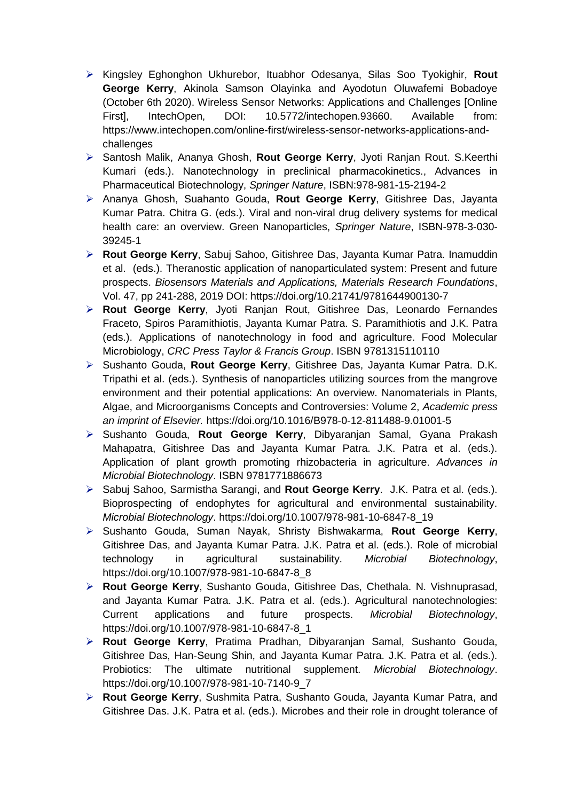- Kingsley Eghonghon Ukhurebor, Ituabhor Odesanya, Silas Soo Tyokighir, **Rout George Kerry**, Akinola Samson Olayinka and Ayodotun Oluwafemi Bobadoye (October 6th 2020). Wireless Sensor Networks: Applications and Challenges [Online First], IntechOpen, DOI: 10.5772/intechopen.93660. Available from: https://www.intechopen.com/online-first/wireless-sensor-networks-applications-andchallenges
- Santosh Malik, Ananya Ghosh, **Rout George Kerry**, Jyoti Ranjan Rout. S.Keerthi Kumari (eds.). Nanotechnology in preclinical pharmacokinetics., Advances in Pharmaceutical Biotechnology, *Springer Nature*, ISBN:978-981-15-2194-2
- Ananya Ghosh, Suahanto Gouda, **Rout George Kerry**, Gitishree Das, Jayanta Kumar Patra. Chitra G. (eds.). Viral and non-viral drug delivery systems for medical health care: an overview. Green Nanoparticles, *Springer Nature*, ISBN-978-3-030- 39245-1
- **Rout George Kerry**, Sabuj Sahoo, Gitishree Das, Jayanta Kumar Patra. Inamuddin et al. (eds.). Theranostic application of nanoparticulated system: Present and future prospects. *Biosensors Materials and Applications, Materials Research Foundations*, Vol. 47, pp 241-288, 2019 DOI: https://doi.org/10.21741/9781644900130-7
- **Rout George Kerry**, Jyoti Ranjan Rout, Gitishree Das, Leonardo Fernandes Fraceto, Spiros Paramithiotis, Jayanta Kumar Patra. S. Paramithiotis and J.K. Patra (eds.). Applications of nanotechnology in food and agriculture. Food Molecular Microbiology, *CRC Press Taylor & Francis Group*. ISBN 9781315110110
- Sushanto Gouda, **Rout George Kerry**, Gitishree Das, Jayanta Kumar Patra. D.K. Tripathi et al. (eds.). Synthesis of nanoparticles utilizing sources from the mangrove environment and their potential applications: An overview. Nanomaterials in Plants, Algae, and Microorganisms Concepts and Controversies: Volume 2, *Academic press an imprint of Elsevier.* https://doi.org/10.1016/B978-0-12-811488-9.01001-5
- Sushanto Gouda, **Rout George Kerry**, Dibyaranjan Samal, Gyana Prakash Mahapatra, Gitishree Das and Jayanta Kumar Patra. J.K. Patra et al. (eds.). Application of plant growth promoting rhizobacteria in agriculture. *Advances in Microbial Biotechnology*. ISBN 9781771886673
- Sabuj Sahoo, Sarmistha Sarangi, and **Rout George Kerry**. J.K. Patra et al. (eds.). Bioprospecting of endophytes for agricultural and environmental sustainability. *Microbial Biotechnology*. https://doi.org/10.1007/978-981-10-6847-8\_19
- Sushanto Gouda, Suman Nayak, Shristy Bishwakarma, **Rout George Kerry**, Gitishree Das, and Jayanta Kumar Patra. J.K. Patra et al. (eds.). Role of microbial technology in agricultural sustainability. *Microbial Biotechnology*, https://doi.org/10.1007/978-981-10-6847-8\_8
- **Rout George Kerry**, Sushanto Gouda, Gitishree Das, Chethala. N. Vishnuprasad, and Jayanta Kumar Patra. J.K. Patra et al. (eds.). Agricultural nanotechnologies: Current applications and future prospects. *Microbial Biotechnology*, https://doi.org/10.1007/978-981-10-6847-8\_1
- **Rout George Kerry**, Pratima Pradhan, Dibyaranjan Samal, Sushanto Gouda, Gitishree Das, Han-Seung Shin, and Jayanta Kumar Patra. J.K. Patra et al. (eds.). Probiotics: The ultimate nutritional supplement. *Microbial Biotechnology*. https://doi.org/10.1007/978-981-10-7140-9\_7
- **Rout George Kerry**, Sushmita Patra, Sushanto Gouda, Jayanta Kumar Patra, and Gitishree Das. J.K. Patra et al. (eds.). Microbes and their role in drought tolerance of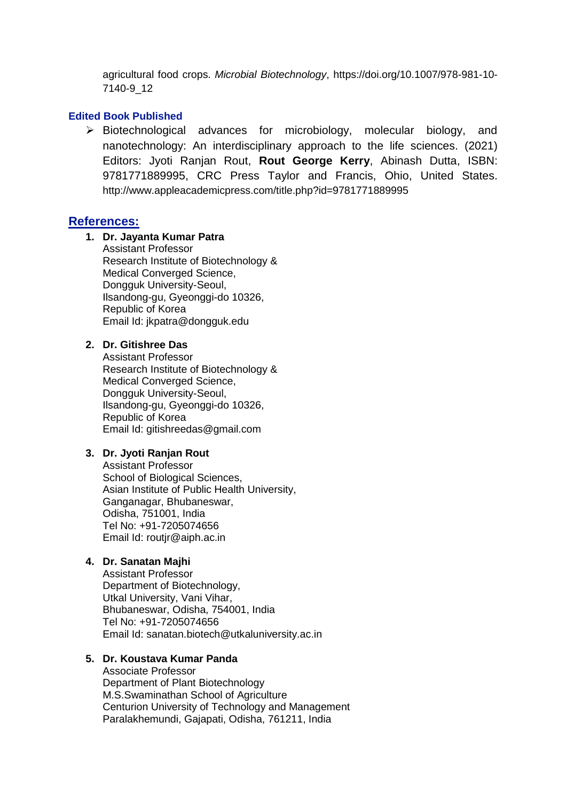agricultural food crops. *Microbial Biotechnology*, https://doi.org/10.1007/978-981-10- 7140-9\_12

#### **Edited Book Published**

 $\triangleright$  Biotechnological advances for microbiology, molecular biology, and nanotechnology: An interdisciplinary approach to the life sciences. (2021) Editors: Jyoti Ranjan Rout, **Rout George Kerry**, Abinash Dutta, ISBN: 9781771889995, CRC Press Taylor and Francis, Ohio, United States. http://www.appleacademicpress.com/title.php?id=9781771889995

#### **References:**

### **1. Dr. Jayanta Kumar Patra**

Assistant Professor Research Institute of Biotechnology & Medical Converged Science, Dongguk University-Seoul, Ilsandong-gu, Gyeonggi-do 10326, Republic of Korea Email Id: [jkpatra@dongguk.edu](mailto:jkpatra@dongguk.edu)

#### **2. Dr. Gitishree Das**

Assistant Professor Research Institute of Biotechnology & Medical Converged Science, Dongguk University-Seoul, Ilsandong-gu, Gyeonggi-do 10326, Republic of Korea Email Id: [gitishreedas@gmail.com](mailto:gitishreedas@gmail.com)

#### **3. Dr. Jyoti Ranjan Rout**

Assistant Professor School of Biological Sciences, Asian Institute of Public Health University, Ganganagar, Bhubaneswar, Odisha, 751001, India Tel No: +91-7205074656 Email Id: [routjr@aiph.ac.in](mailto:routjr@aiph.ac.in)

## **4. Dr. Sanatan Majhi**

Assistant Professor Department of Biotechnology, Utkal University, Vani Vihar, Bhubaneswar, Odisha, 754001, India Tel No: +91-7205074656 Email Id: [sanatan.biotech@utkaluniversity.ac.in](mailto:sanatan.biotech@utkaluniversity.ac.in)

#### **5. Dr. Koustava Kumar Panda**

Associate Professor Department of Plant Biotechnology M.S.Swaminathan School of Agriculture Centurion University of Technology and Management Paralakhemundi, Gajapati, Odisha, 761211, India